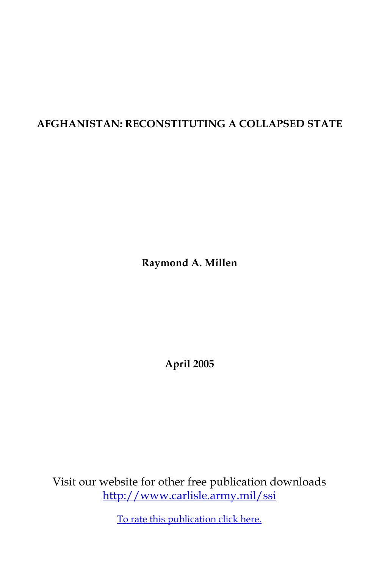# **AFGHANISTAN: RECONSTITUTING A COLLAPSED STATE**

**Raymond A. Millen**

**April 2005**

Visit our website for other free publication downloads [http://www.carlisle.army.mil/ssi](http://www.strategicstudiesinstitute.army.mil)

[To rate this publication click here.](http://www.strategicstudiesinstitute.army.mil/pubs/display.cfm?pubid=600)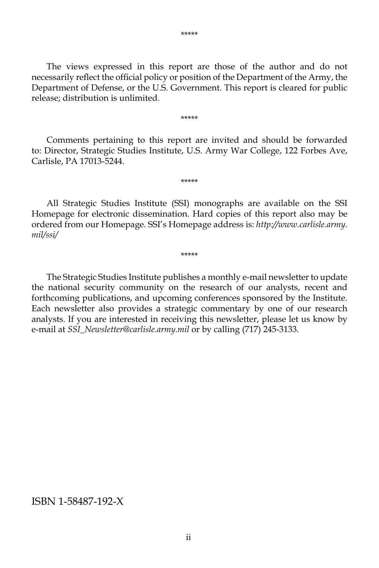The views expressed in this report are those of the author and do not necessarily reflect the official policy or position of the Department of the Army, the Department of Defense, or the U.S. Government. This report is cleared for public release; distribution is unlimited.

\*\*\*\*\*

 Comments pertaining to this report are invited and should be forwarded to: Director, Strategic Studies Institute, U.S. Army War College, 122 Forbes Ave, Carlisle, PA 17013-5244.

\*\*\*\*\*

 All Strategic Studies Institute (SSI) monographs are available on the SSI Homepage for electronic dissemination. Hard copies of this report also may be ordered from our Homepage. SSI's Homepage address is: *http://www.carlisle.army. mil/ssi/*

\*\*\*\*\*

 The Strategic Studies Institute publishes a monthly e-mail newsletter to update the national security community on the research of our analysts, recent and forthcoming publications, and upcoming conferences sponsored by the Institute. Each newsletter also provides a strategic commentary by one of our research analysts. If you are interested in receiving this newsletter, please let us know by e-mail at *SSI\_Newsletter@carlisle.army.mil* or by calling (717) 245-3133.

#### ISBN 1-58487-192-X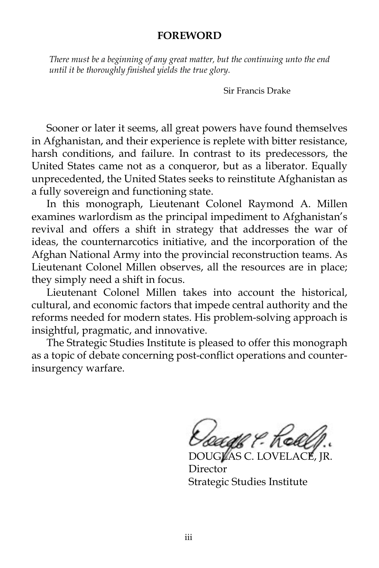#### **FOREWORD**

*There must be a beginning of any great matter, but the continuing unto the end until it be thoroughly finished yields the true glory.*

Sir Francis Drake

 Sooner or later it seems, all great powers have found themselves in Afghanistan, and their experience is replete with bitter resistance, harsh conditions, and failure. In contrast to its predecessors, the United States came not as a conqueror, but as a liberator. Equally unprecedented, the United States seeks to reinstitute Afghanistan as a fully sovereign and functioning state.

 In this monograph, Lieutenant Colonel Raymond A. Millen examines warlordism as the principal impediment to Afghanistan's revival and offers a shift in strategy that addresses the war of ideas, the counternarcotics initiative, and the incorporation of the Afghan National Army into the provincial reconstruction teams. As Lieutenant Colonel Millen observes, all the resources are in place; they simply need a shift in focus.

 Lieutenant Colonel Millen takes into account the historical, cultural, and economic factors that impede central authority and the reforms needed for modern states. His problem-solving approach is insightful, pragmatic, and innovative.

 The Strategic Studies Institute is pleased to offer this monograph as a topic of debate concerning post-conflict operations and counterinsurgency warfare.

DOUGLAS C. LOV Director Strategic Studies Institute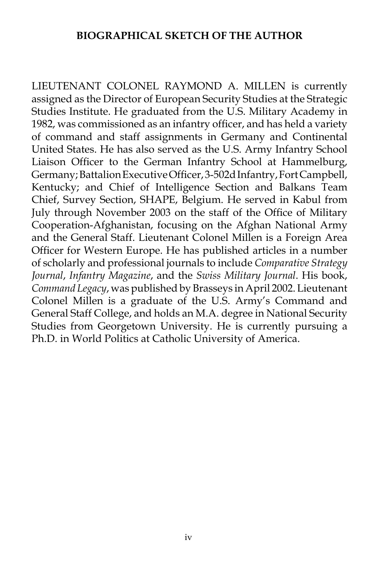### **BIOGRAPHICAL SKETCH OF THE AUTHOR**

LIEUTENANT COLONEL RAYMOND A. MILLEN is currently assigned as the Director of European Security Studies at the Strategic Studies Institute. He graduated from the U.S. Military Academy in 1982, was commissioned as an infantry officer, and has held a variety of command and staff assignments in Germany and Continental United States. He has also served as the U.S. Army Infantry School Liaison Officer to the German Infantry School at Hammelburg, Germany; Battalion Executive Officer, 3-502d Infantry, Fort Campbell, Kentucky; and Chief of Intelligence Section and Balkans Team Chief, Survey Section, SHAPE, Belgium. He served in Kabul from July through November 2003 on the staff of the Office of Military Cooperation-Afghanistan, focusing on the Afghan National Army and the General Staff. Lieutenant Colonel Millen is a Foreign Area Officer for Western Europe. He has published articles in a number of scholarly and professional journals to include *Comparative Strategy Journal*, *Infantry Magazine*, and the *Swiss Military Journal*. His book, *Command Legacy*, was published by Brasseys in April 2002. Lieutenant Colonel Millen is a graduate of the U.S. Army's Command and General Staff College, and holds an M.A. degree in National Security Studies from Georgetown University. He is currently pursuing a Ph.D. in World Politics at Catholic University of America.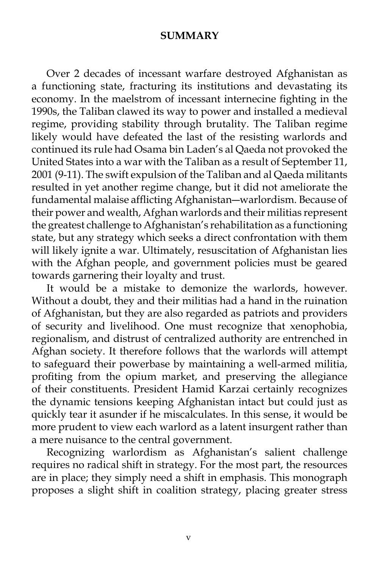#### **SUMMARY**

 Over 2 decades of incessant warfare destroyed Afghanistan as a functioning state, fracturing its institutions and devastating its economy. In the maelstrom of incessant internecine fighting in the 1990s, the Taliban clawed its way to power and installed a medieval regime, providing stability through brutality. The Taliban regime likely would have defeated the last of the resisting warlords and continued its rule had Osama bin Laden's al Qaeda not provoked the United States into a war with the Taliban as a result of September 11, 2001 (9-11). The swift expulsion of the Taliban and al Qaeda militants resulted in yet another regime change, but it did not ameliorate the fundamental malaise afflicting Afghanistan―warlordism. Because of their power and wealth, Afghan warlords and their militias represent the greatest challenge to Afghanistan's rehabilitation as a functioning state, but any strategy which seeks a direct confrontation with them will likely ignite a war. Ultimately, resuscitation of Afghanistan lies with the Afghan people, and government policies must be geared towards garnering their loyalty and trust.

 It would be a mistake to demonize the warlords, however. Without a doubt, they and their militias had a hand in the ruination of Afghanistan, but they are also regarded as patriots and providers of security and livelihood. One must recognize that xenophobia, regionalism, and distrust of centralized authority are entrenched in Afghan society. It therefore follows that the warlords will attempt to safeguard their powerbase by maintaining a well-armed militia, profiting from the opium market, and preserving the allegiance of their constituents. President Hamid Karzai certainly recognizes the dynamic tensions keeping Afghanistan intact but could just as quickly tear it asunder if he miscalculates. In this sense, it would be more prudent to view each warlord as a latent insurgent rather than a mere nuisance to the central government.

 Recognizing warlordism as Afghanistan's salient challenge requires no radical shift in strategy. For the most part, the resources are in place; they simply need a shift in emphasis. This monograph proposes a slight shift in coalition strategy, placing greater stress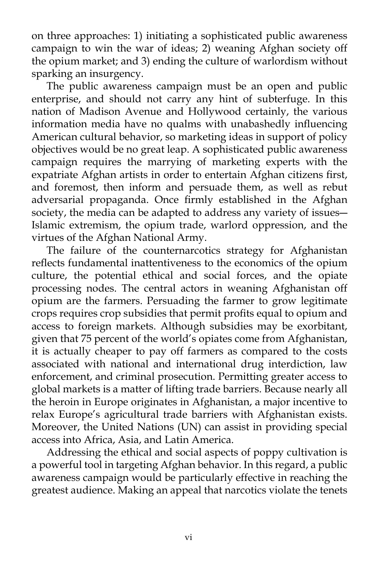on three approaches: 1) initiating a sophisticated public awareness campaign to win the war of ideas; 2) weaning Afghan society off the opium market; and 3) ending the culture of warlordism without sparking an insurgency.

 The public awareness campaign must be an open and public enterprise, and should not carry any hint of subterfuge. In this nation of Madison Avenue and Hollywood certainly, the various information media have no qualms with unabashedly influencing American cultural behavior, so marketing ideas in support of policy objectives would be no great leap. A sophisticated public awareness campaign requires the marrying of marketing experts with the expatriate Afghan artists in order to entertain Afghan citizens first, and foremost, then inform and persuade them, as well as rebut adversarial propaganda. Once firmly established in the Afghan society, the media can be adapted to address any variety of issues― Islamic extremism, the opium trade, warlord oppression, and the virtues of the Afghan National Army.

 The failure of the counternarcotics strategy for Afghanistan reflects fundamental inattentiveness to the economics of the opium culture, the potential ethical and social forces, and the opiate processing nodes. The central actors in weaning Afghanistan off opium are the farmers. Persuading the farmer to grow legitimate crops requires crop subsidies that permit profits equal to opium and access to foreign markets. Although subsidies may be exorbitant, given that 75 percent of the world's opiates come from Afghanistan, it is actually cheaper to pay off farmers as compared to the costs associated with national and international drug interdiction, law enforcement, and criminal prosecution. Permitting greater access to global markets is a matter of lifting trade barriers. Because nearly all the heroin in Europe originates in Afghanistan, a major incentive to relax Europe's agricultural trade barriers with Afghanistan exists. Moreover, the United Nations (UN) can assist in providing special access into Africa, Asia, and Latin America.

 Addressing the ethical and social aspects of poppy cultivation is a powerful tool in targeting Afghan behavior. In this regard, a public awareness campaign would be particularly effective in reaching the greatest audience. Making an appeal that narcotics violate the tenets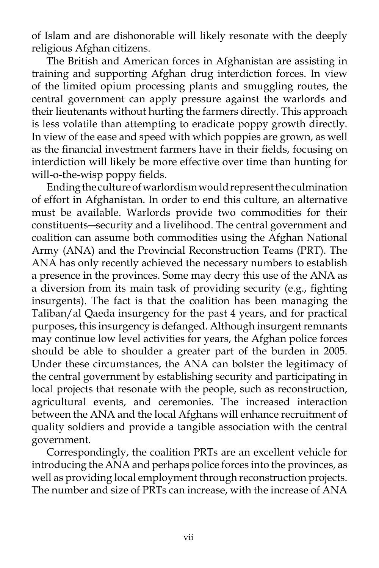of Islam and are dishonorable will likely resonate with the deeply religious Afghan citizens.

 The British and American forces in Afghanistan are assisting in training and supporting Afghan drug interdiction forces. In view of the limited opium processing plants and smuggling routes, the central government can apply pressure against the warlords and their lieutenants without hurting the farmers directly. This approach is less volatile than attempting to eradicate poppy growth directly. In view of the ease and speed with which poppies are grown, as well as the financial investment farmers have in their fields, focusing on interdiction will likely be more effective over time than hunting for will-o-the-wisp poppy fields.

 Ending the culture of warlordism would represent the culmination of effort in Afghanistan. In order to end this culture, an alternative must be available. Warlords provide two commodities for their constituents―security and a livelihood. The central government and coalition can assume both commodities using the Afghan National Army (ANA) and the Provincial Reconstruction Teams (PRT). The ANA has only recently achieved the necessary numbers to establish a presence in the provinces. Some may decry this use of the ANA as a diversion from its main task of providing security (e.g., fighting insurgents). The fact is that the coalition has been managing the Taliban/al Qaeda insurgency for the past 4 years, and for practical purposes, this insurgency is defanged. Although insurgent remnants may continue low level activities for years, the Afghan police forces should be able to shoulder a greater part of the burden in 2005. Under these circumstances, the ANA can bolster the legitimacy of the central government by establishing security and participating in local projects that resonate with the people, such as reconstruction, agricultural events, and ceremonies. The increased interaction between the ANA and the local Afghans will enhance recruitment of quality soldiers and provide a tangible association with the central government.

 Correspondingly, the coalition PRTs are an excellent vehicle for introducing the ANA and perhaps police forces into the provinces, as well as providing local employment through reconstruction projects. The number and size of PRTs can increase, with the increase of ANA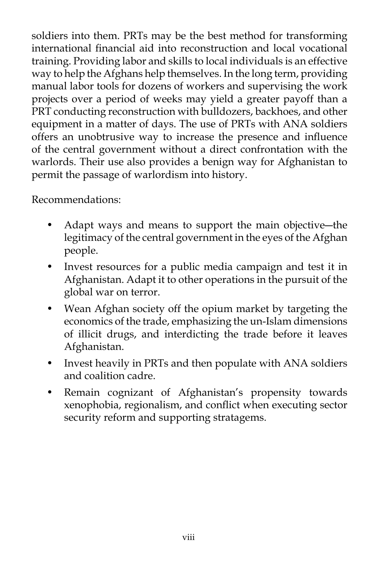soldiers into them. PRTs may be the best method for transforming international financial aid into reconstruction and local vocational training. Providing labor and skills to local individuals is an effective way to help the Afghans help themselves. In the long term, providing manual labor tools for dozens of workers and supervising the work projects over a period of weeks may yield a greater payoff than a PRT conducting reconstruction with bulldozers, backhoes, and other equipment in a matter of days. The use of PRTs with ANA soldiers offers an unobtrusive way to increase the presence and influence of the central government without a direct confrontation with the warlords. Their use also provides a benign way for Afghanistan to permit the passage of warlordism into history.

Recommendations:

- Adapt ways and means to support the main objective—the legitimacy of the central government in the eyes of the Afghan people.
- Invest resources for a public media campaign and test it in Afghanistan. Adapt it to other operations in the pursuit of the global war on terror.
- Wean Afghan society off the opium market by targeting the economics of the trade, emphasizing the un-Islam dimensions of illicit drugs, and interdicting the trade before it leaves Afghanistan.
- Invest heavily in PRTs and then populate with ANA soldiers and coalition cadre.
- Remain cognizant of Afghanistan's propensity towards xenophobia, regionalism, and conflict when executing sector security reform and supporting stratagems.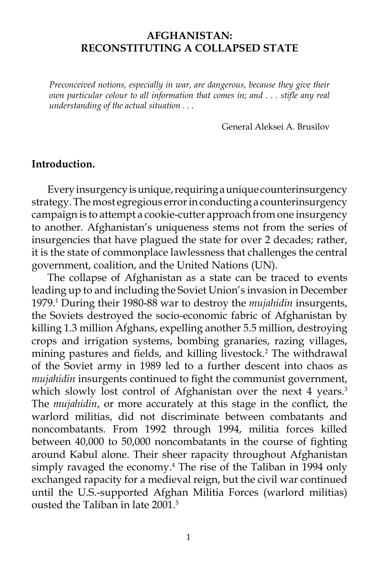### **AFGHANISTAN: RECONSTITUTING A COLLAPSED STATE**

*Preconceived notions, especially in war, are dangerous, because they give their own particular colour to all information that comes in; and . . . stifle any real understanding of the actual situation . . .*

General Aleksei A. Brusilov

#### **Introduction.**

 Every insurgency is unique, requiring a unique counterinsurgency strategy. The most egregious error in conducting a counterinsurgency campaign is to attempt a cookie-cutter approach from one insurgency to another. Afghanistan's uniqueness stems not from the series of insurgencies that have plagued the state for over 2 decades; rather, it is the state of commonplace lawlessness that challenges the central government, coalition, and the United Nations (UN).

 The collapse of Afghanistan as a state can be traced to events leading up to and including the Soviet Union's invasion in December 1979.1 During their 1980-88 war to destroy the *mujahidin* insurgents, the Soviets destroyed the socio-economic fabric of Afghanistan by killing 1.3 million Afghans, expelling another 5.5 million, destroying crops and irrigation systems, bombing granaries, razing villages, mining pastures and fields, and killing livestock.<sup>2</sup> The withdrawal of the Soviet army in 1989 led to a further descent into chaos as *mujahidin* insurgents continued to fight the communist government, which slowly lost control of Afghanistan over the next 4 years.<sup>3</sup> The *mujahidin*, or more accurately at this stage in the conflict, the warlord militias, did not discriminate between combatants and noncombatants. From 1992 through 1994, militia forces killed between 40,000 to 50,000 noncombatants in the course of fighting around Kabul alone. Their sheer rapacity throughout Afghanistan simply ravaged the economy.4 The rise of the Taliban in 1994 only exchanged rapacity for a medieval reign, but the civil war continued until the U.S.-supported Afghan Militia Forces (warlord militias) ousted the Taliban in late 2001.5

1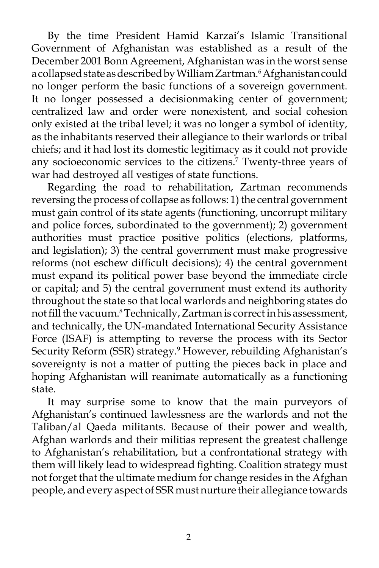By the time President Hamid Karzai's Islamic Transitional Government of Afghanistan was established as a result of the December 2001 Bonn Agreement, Afghanistan was in the worst sense a collapsed state as described by William Zartman.6 Afghanistan could no longer perform the basic functions of a sovereign government. It no longer possessed a decisionmaking center of government; centralized law and order were nonexistent, and social cohesion only existed at the tribal level; it was no longer a symbol of identity, as the inhabitants reserved their allegiance to their warlords or tribal chiefs; and it had lost its domestic legitimacy as it could not provide any socioeconomic services to the citizens.<sup>7</sup> Twenty-three years of war had destroyed all vestiges of state functions.

 Regarding the road to rehabilitation, Zartman recommends reversing the process of collapse as follows: 1) the central government must gain control of its state agents (functioning, uncorrupt military and police forces, subordinated to the government); 2) government authorities must practice positive politics (elections, platforms, and legislation); 3) the central government must make progressive reforms (not eschew difficult decisions); 4) the central government must expand its political power base beyond the immediate circle or capital; and 5) the central government must extend its authority throughout the state so that local warlords and neighboring states do not fill the vacuum.8 Technically, Zartman is correct in his assessment, and technically, the UN-mandated International Security Assistance Force (ISAF) is attempting to reverse the process with its Sector Security Reform (SSR) strategy.9 However, rebuilding Afghanistan's sovereignty is not a matter of putting the pieces back in place and hoping Afghanistan will reanimate automatically as a functioning state.

 It may surprise some to know that the main purveyors of Afghanistan's continued lawlessness are the warlords and not the Taliban/al Qaeda militants. Because of their power and wealth, Afghan warlords and their militias represent the greatest challenge to Afghanistan's rehabilitation, but a confrontational strategy with them will likely lead to widespread fighting. Coalition strategy must not forget that the ultimate medium for change resides in the Afghan people, and every aspect of SSR must nurture their allegiance towards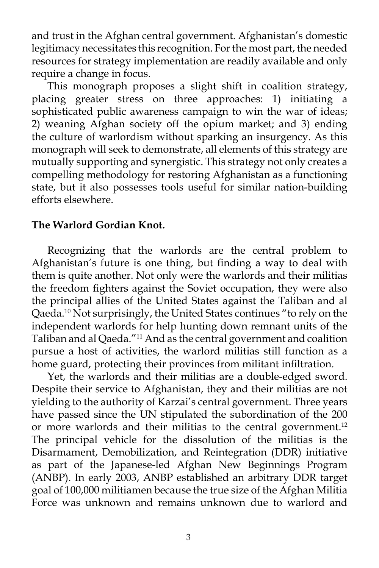and trust in the Afghan central government. Afghanistan's domestic legitimacy necessitates this recognition. For the most part, the needed resources for strategy implementation are readily available and only require a change in focus.

 This monograph proposes a slight shift in coalition strategy, placing greater stress on three approaches: 1) initiating a sophisticated public awareness campaign to win the war of ideas; 2) weaning Afghan society off the opium market; and 3) ending the culture of warlordism without sparking an insurgency. As this monograph will seek to demonstrate, all elements of this strategy are mutually supporting and synergistic. This strategy not only creates a compelling methodology for restoring Afghanistan as a functioning state, but it also possesses tools useful for similar nation-building efforts elsewhere.

### **The Warlord Gordian Knot.**

 Recognizing that the warlords are the central problem to Afghanistan's future is one thing, but finding a way to deal with them is quite another. Not only were the warlords and their militias the freedom fighters against the Soviet occupation, they were also the principal allies of the United States against the Taliban and al Qaeda.10 Not surprisingly, the United States continues "to rely on the independent warlords for help hunting down remnant units of the Taliban and al Qaeda."11 And as the central government and coalition pursue a host of activities, the warlord militias still function as a home guard, protecting their provinces from militant infiltration.

 Yet, the warlords and their militias are a double-edged sword. Despite their service to Afghanistan, they and their militias are not yielding to the authority of Karzai's central government. Three years have passed since the UN stipulated the subordination of the 200 or more warlords and their militias to the central government.<sup>12</sup> The principal vehicle for the dissolution of the militias is the Disarmament, Demobilization, and Reintegration (DDR) initiative as part of the Japanese-led Afghan New Beginnings Program (ANBP). In early 2003, ANBP established an arbitrary DDR target goal of 100,000 militiamen because the true size of the Afghan Militia Force was unknown and remains unknown due to warlord and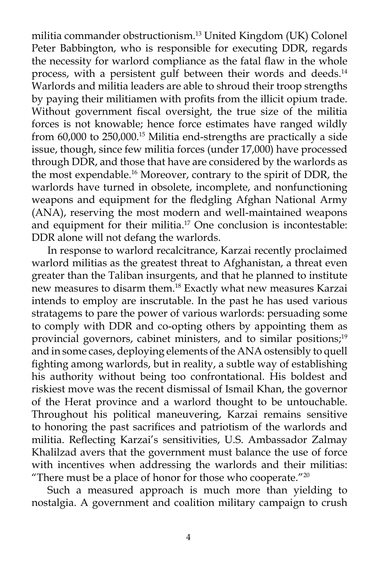militia commander obstructionism.13 United Kingdom (UK) Colonel Peter Babbington, who is responsible for executing DDR, regards the necessity for warlord compliance as the fatal flaw in the whole process, with a persistent gulf between their words and deeds.14 Warlords and militia leaders are able to shroud their troop strengths by paying their militiamen with profits from the illicit opium trade. Without government fiscal oversight, the true size of the militia forces is not knowable; hence force estimates have ranged wildly from 60,000 to 250,000.15 Militia end-strengths are practically a side issue, though, since few militia forces (under 17,000) have processed through DDR, and those that have are considered by the warlords as the most expendable.<sup>16</sup> Moreover, contrary to the spirit of DDR, the warlords have turned in obsolete, incomplete, and nonfunctioning weapons and equipment for the fledgling Afghan National Army (ANA), reserving the most modern and well-maintained weapons and equipment for their militia.<sup>17</sup> One conclusion is incontestable: DDR alone will not defang the warlords.

 In response to warlord recalcitrance, Karzai recently proclaimed warlord militias as the greatest threat to Afghanistan, a threat even greater than the Taliban insurgents, and that he planned to institute new measures to disarm them.18 Exactly what new measures Karzai intends to employ are inscrutable. In the past he has used various stratagems to pare the power of various warlords: persuading some to comply with DDR and co-opting others by appointing them as provincial governors, cabinet ministers, and to similar positions;<sup>19</sup> and in some cases, deploying elements of the ANA ostensibly to quell fighting among warlords, but in reality, a subtle way of establishing his authority without being too confrontational. His boldest and riskiest move was the recent dismissal of Ismail Khan, the governor of the Herat province and a warlord thought to be untouchable. Throughout his political maneuvering, Karzai remains sensitive to honoring the past sacrifices and patriotism of the warlords and militia. Reflecting Karzai's sensitivities, U.S. Ambassador Zalmay Khalilzad avers that the government must balance the use of force with incentives when addressing the warlords and their militias: "There must be a place of honor for those who cooperate."20

 Such a measured approach is much more than yielding to nostalgia. A government and coalition military campaign to crush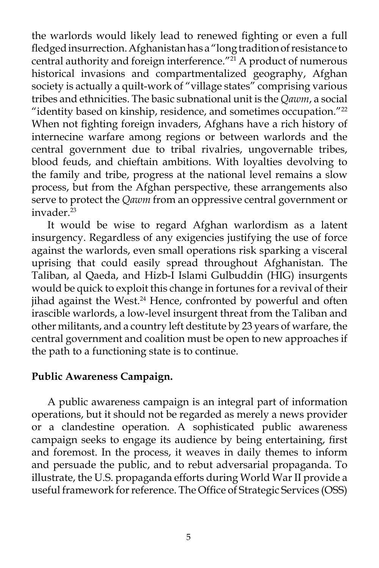the warlords would likely lead to renewed fighting or even a full fledged insurrection. Afghanistan has a "long tradition of resistance to central authority and foreign interference."<sup>21</sup> A product of numerous historical invasions and compartmentalized geography, Afghan society is actually a quilt-work of "village states" comprising various tribes and ethnicities. The basic subnational unit is the *Qawm*, a social "identity based on kinship, residence, and sometimes occupation." $^{22}$ When not fighting foreign invaders, Afghans have a rich history of internecine warfare among regions or between warlords and the central government due to tribal rivalries, ungovernable tribes, blood feuds, and chieftain ambitions. With loyalties devolving to the family and tribe, progress at the national level remains a slow process, but from the Afghan perspective, these arrangements also serve to protect the *Qawm* from an oppressive central government or invader.<sup>23</sup>

 It would be wise to regard Afghan warlordism as a latent insurgency. Regardless of any exigencies justifying the use of force against the warlords, even small operations risk sparking a visceral uprising that could easily spread throughout Afghanistan. The Taliban, al Qaeda, and Hizb-I Islami Gulbuddin (HIG) insurgents would be quick to exploit this change in fortunes for a revival of their jihad against the West. $24$  Hence, confronted by powerful and often irascible warlords, a low-level insurgent threat from the Taliban and other militants, and a country left destitute by 23 years of warfare, the central government and coalition must be open to new approaches if the path to a functioning state is to continue.

### **Public Awareness Campaign.**

 A public awareness campaign is an integral part of information operations, but it should not be regarded as merely a news provider or a clandestine operation. A sophisticated public awareness campaign seeks to engage its audience by being entertaining, first and foremost. In the process, it weaves in daily themes to inform and persuade the public, and to rebut adversarial propaganda. To illustrate, the U.S. propaganda efforts during World War II provide a useful framework for reference. The Office of Strategic Services (OSS)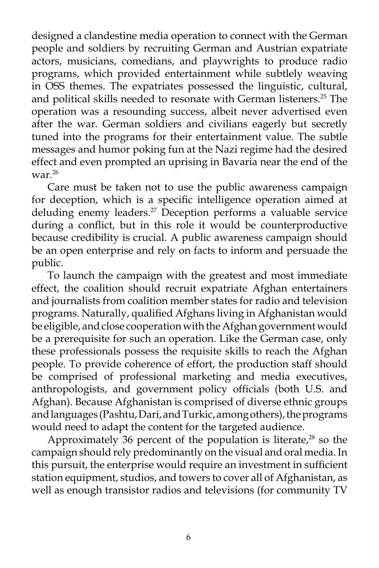designed a clandestine media operation to connect with the German people and soldiers by recruiting German and Austrian expatriate actors, musicians, comedians, and playwrights to produce radio programs, which provided entertainment while subtlely weaving in OSS themes. The expatriates possessed the linguistic, cultural, and political skills needed to resonate with German listeners.<sup>25</sup> The operation was a resounding success, albeit never advertised even after the war. German soldiers and civilians eagerly but secretly tuned into the programs for their entertainment value. The subtle messages and humor poking fun at the Nazi regime had the desired effect and even prompted an uprising in Bavaria near the end of the war. $26$ 

 Care must be taken not to use the public awareness campaign for deception, which is a specific intelligence operation aimed at deluding enemy leaders.<sup>27</sup> Deception performs a valuable service during a conflict, but in this role it would be counterproductive because credibility is crucial. A public awareness campaign should be an open enterprise and rely on facts to inform and persuade the public.

 To launch the campaign with the greatest and most immediate effect, the coalition should recruit expatriate Afghan entertainers and journalists from coalition member states for radio and television programs. Naturally, qualified Afghans living in Afghanistan would be eligible, and close cooperation with the Afghan government would be a prerequisite for such an operation. Like the German case, only these professionals possess the requisite skills to reach the Afghan people. To provide coherence of effort, the production staff should be comprised of professional marketing and media executives, anthropologists, and government policy officials (both U.S. and Afghan). Because Afghanistan is comprised of diverse ethnic groups and languages (Pashtu, Dari, and Turkic, among others), the programs would need to adapt the content for the targeted audience.

Approximately 36 percent of the population is literate, $28$  so the campaign should rely predominantly on the visual and oral media. In this pursuit, the enterprise would require an investment in sufficient station equipment, studios, and towers to cover all of Afghanistan, as well as enough transistor radios and televisions (for community TV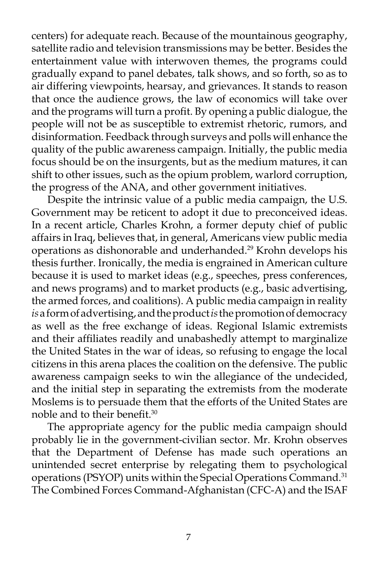centers) for adequate reach. Because of the mountainous geography, satellite radio and television transmissions may be better. Besides the entertainment value with interwoven themes, the programs could gradually expand to panel debates, talk shows, and so forth, so as to air differing viewpoints, hearsay, and grievances. It stands to reason that once the audience grows, the law of economics will take over and the programs will turn a profit. By opening a public dialogue, the people will not be as susceptible to extremist rhetoric, rumors, and disinformation. Feedback through surveys and polls will enhance the quality of the public awareness campaign. Initially, the public media focus should be on the insurgents, but as the medium matures, it can shift to other issues, such as the opium problem, warlord corruption, the progress of the ANA, and other government initiatives.

 Despite the intrinsic value of a public media campaign, the U.S. Government may be reticent to adopt it due to preconceived ideas. In a recent article, Charles Krohn, a former deputy chief of public affairs in Iraq, believes that, in general, Americans view public media operations as dishonorable and underhanded.29 Krohn develops his thesis further. Ironically, the media is engrained in American culture because it is used to market ideas (e.g., speeches, press conferences, and news programs) and to market products (e.g., basic advertising, the armed forces, and coalitions). A public media campaign in reality *is* a form of advertising, and the product *is* the promotion of democracy as well as the free exchange of ideas. Regional Islamic extremists and their affiliates readily and unabashedly attempt to marginalize the United States in the war of ideas, so refusing to engage the local citizens in this arena places the coalition on the defensive. The public awareness campaign seeks to win the allegiance of the undecided, and the initial step in separating the extremists from the moderate Moslems is to persuade them that the efforts of the United States are noble and to their benefit.30

 The appropriate agency for the public media campaign should probably lie in the government-civilian sector. Mr. Krohn observes that the Department of Defense has made such operations an unintended secret enterprise by relegating them to psychological operations (PSYOP) units within the Special Operations Command.<sup>31</sup> The Combined Forces Command-Afghanistan (CFC-A) and the ISAF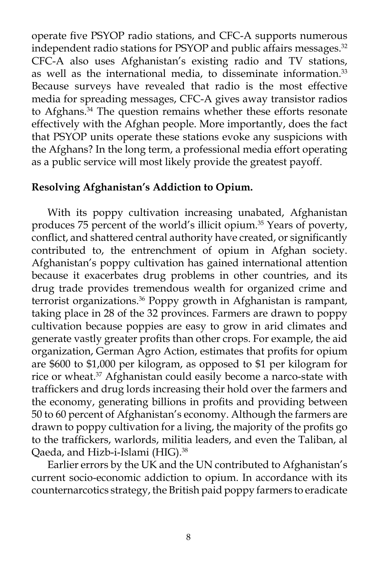operate five PSYOP radio stations, and CFC-A supports numerous independent radio stations for PSYOP and public affairs messages.<sup>32</sup> CFC-A also uses Afghanistan's existing radio and TV stations, as well as the international media, to disseminate information.33 Because surveys have revealed that radio is the most effective media for spreading messages, CFC-A gives away transistor radios to Afghans.<sup>34</sup> The question remains whether these efforts resonate effectively with the Afghan people. More importantly, does the fact that PSYOP units operate these stations evoke any suspicions with the Afghans? In the long term, a professional media effort operating as a public service will most likely provide the greatest payoff.

## **Resolving Afghanistan's Addiction to Opium.**

With its poppy cultivation increasing unabated, Afghanistan produces 75 percent of the world's illicit opium.35 Years of poverty, conflict, and shattered central authority have created, or significantly contributed to, the entrenchment of opium in Afghan society. Afghanistan's poppy cultivation has gained international attention because it exacerbates drug problems in other countries, and its drug trade provides tremendous wealth for organized crime and terrorist organizations.<sup>36</sup> Poppy growth in Afghanistan is rampant, taking place in 28 of the 32 provinces. Farmers are drawn to poppy cultivation because poppies are easy to grow in arid climates and generate vastly greater profits than other crops. For example, the aid organization, German Agro Action, estimates that profits for opium are \$600 to \$1,000 per kilogram, as opposed to \$1 per kilogram for rice or wheat.<sup>37</sup> Afghanistan could easily become a narco-state with traffickers and drug lords increasing their hold over the farmers and the economy, generating billions in profits and providing between 50 to 60 percent of Afghanistan's economy. Although the farmers are drawn to poppy cultivation for a living, the majority of the profits go to the traffickers, warlords, militia leaders, and even the Taliban, al Qaeda, and Hizb-i-Islami (HIG).<sup>38</sup>

 Earlier errors by the UK and the UN contributed to Afghanistan's current socio-economic addiction to opium. In accordance with its counternarcotics strategy, the British paid poppy farmers to eradicate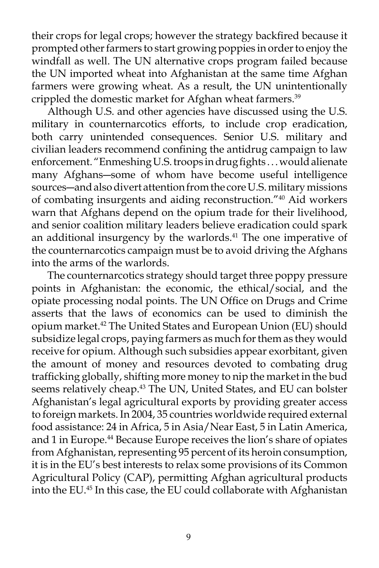their crops for legal crops; however the strategy backfired because it prompted other farmers to start growing poppies in order to enjoy the windfall as well. The UN alternative crops program failed because the UN imported wheat into Afghanistan at the same time Afghan farmers were growing wheat. As a result, the UN unintentionally crippled the domestic market for Afghan wheat farmers.<sup>39</sup>

 Although U.S. and other agencies have discussed using the U.S. military in counternarcotics efforts, to include crop eradication, both carry unintended consequences. Senior U.S. military and civilian leaders recommend confining the antidrug campaign to law enforcement. "Enmeshing U.S. troops in drug fights . . . would alienate many Afghans―some of whom have become useful intelligence sources―and also divert attention from the core U.S. military missions of combating insurgents and aiding reconstruction."40 Aid workers warn that Afghans depend on the opium trade for their livelihood, and senior coalition military leaders believe eradication could spark an additional insurgency by the warlords.<sup>41</sup> The one imperative of the counternarcotics campaign must be to avoid driving the Afghans into the arms of the warlords.

 The counternarcotics strategy should target three poppy pressure points in Afghanistan: the economic, the ethical/social, and the opiate processing nodal points. The UN Office on Drugs and Crime asserts that the laws of economics can be used to diminish the opium market.42 The United States and European Union (EU) should subsidize legal crops, paying farmers as much for them as they would receive for opium. Although such subsidies appear exorbitant, given the amount of money and resources devoted to combating drug trafficking globally, shifting more money to nip the market in the bud seems relatively cheap.<sup>43</sup> The UN, United States, and EU can bolster Afghanistan's legal agricultural exports by providing greater access to foreign markets. In 2004, 35 countries worldwide required external food assistance: 24 in Africa, 5 in Asia/Near East, 5 in Latin America, and 1 in Europe.<sup>44</sup> Because Europe receives the lion's share of opiates from Afghanistan, representing 95 percent of its heroin consumption, it is in the EU's best interests to relax some provisions of its Common Agricultural Policy (CAP), permitting Afghan agricultural products into the EU.45 In this case, the EU could collaborate with Afghanistan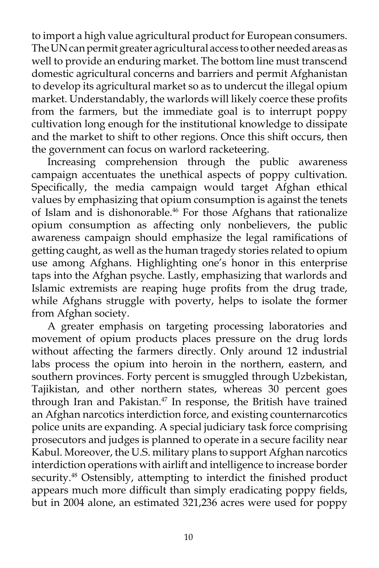to import a high value agricultural product for European consumers. The UN can permit greater agricultural access to other needed areas as well to provide an enduring market. The bottom line must transcend domestic agricultural concerns and barriers and permit Afghanistan to develop its agricultural market so as to undercut the illegal opium market. Understandably, the warlords will likely coerce these profits from the farmers, but the immediate goal is to interrupt poppy cultivation long enough for the institutional knowledge to dissipate and the market to shift to other regions. Once this shift occurs, then the government can focus on warlord racketeering.

 Increasing comprehension through the public awareness campaign accentuates the unethical aspects of poppy cultivation. Specifically, the media campaign would target Afghan ethical values by emphasizing that opium consumption is against the tenets of Islam and is dishonorable.46 For those Afghans that rationalize opium consumption as affecting only nonbelievers, the public awareness campaign should emphasize the legal ramifications of getting caught, as well as the human tragedy stories related to opium use among Afghans. Highlighting one's honor in this enterprise taps into the Afghan psyche. Lastly, emphasizing that warlords and Islamic extremists are reaping huge profits from the drug trade, while Afghans struggle with poverty, helps to isolate the former from Afghan society.

 A greater emphasis on targeting processing laboratories and movement of opium products places pressure on the drug lords without affecting the farmers directly. Only around 12 industrial labs process the opium into heroin in the northern, eastern, and southern provinces. Forty percent is smuggled through Uzbekistan, Tajikistan, and other northern states, whereas 30 percent goes through Iran and Pakistan.<sup>47</sup> In response, the British have trained an Afghan narcotics interdiction force, and existing counternarcotics police units are expanding. A special judiciary task force comprising prosecutors and judges is planned to operate in a secure facility near Kabul. Moreover, the U.S. military plans to support Afghan narcotics interdiction operations with airlift and intelligence to increase border security.<sup>48</sup> Ostensibly, attempting to interdict the finished product appears much more difficult than simply eradicating poppy fields, but in 2004 alone, an estimated 321,236 acres were used for poppy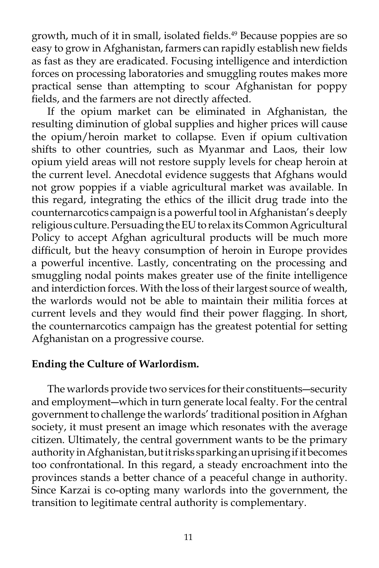growth, much of it in small, isolated fields.<sup>49</sup> Because poppies are so easy to grow in Afghanistan, farmers can rapidly establish new fields as fast as they are eradicated. Focusing intelligence and interdiction forces on processing laboratories and smuggling routes makes more practical sense than attempting to scour Afghanistan for poppy fields, and the farmers are not directly affected.

 If the opium market can be eliminated in Afghanistan, the resulting diminution of global supplies and higher prices will cause the opium/heroin market to collapse. Even if opium cultivation shifts to other countries, such as Myanmar and Laos, their low opium yield areas will not restore supply levels for cheap heroin at the current level. Anecdotal evidence suggests that Afghans would not grow poppies if a viable agricultural market was available. In this regard, integrating the ethics of the illicit drug trade into the counternarcotics campaign is a powerful tool in Afghanistan's deeply religious culture. Persuading the EU to relax its Common Agricultural Policy to accept Afghan agricultural products will be much more difficult, but the heavy consumption of heroin in Europe provides a powerful incentive. Lastly, concentrating on the processing and smuggling nodal points makes greater use of the finite intelligence and interdiction forces. With the loss of their largest source of wealth, the warlords would not be able to maintain their militia forces at current levels and they would find their power flagging. In short, the counternarcotics campaign has the greatest potential for setting Afghanistan on a progressive course.

### **Ending the Culture of Warlordism.**

The warlords provide two services for their constituents―security and employment―which in turn generate local fealty. For the central government to challenge the warlords' traditional position in Afghan society, it must present an image which resonates with the average citizen. Ultimately, the central government wants to be the primary authority in Afghanistan, but it risks sparking an uprising if it becomes too confrontational. In this regard, a steady encroachment into the provinces stands a better chance of a peaceful change in authority. Since Karzai is co-opting many warlords into the government, the transition to legitimate central authority is complementary.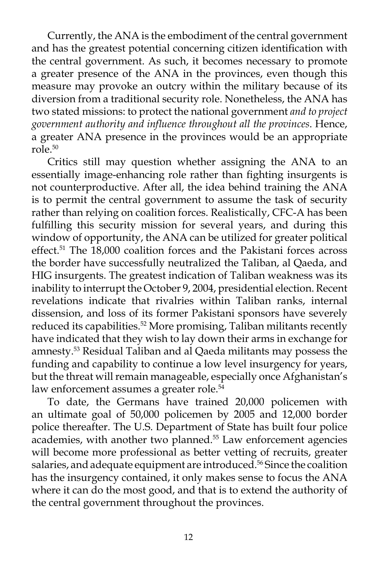Currently, the ANA is the embodiment of the central government and has the greatest potential concerning citizen identification with the central government. As such, it becomes necessary to promote a greater presence of the ANA in the provinces, even though this measure may provoke an outcry within the military because of its diversion from a traditional security role. Nonetheless, the ANA has two stated missions: to protect the national government *and to project government authority and influence throughout all the provinces*. Hence, a greater ANA presence in the provinces would be an appropriate role $50$ 

 Critics still may question whether assigning the ANA to an essentially image-enhancing role rather than fighting insurgents is not counterproductive. After all, the idea behind training the ANA is to permit the central government to assume the task of security rather than relying on coalition forces. Realistically, CFC-A has been fulfilling this security mission for several years, and during this window of opportunity, the ANA can be utilized for greater political effect.<sup>51</sup> The 18,000 coalition forces and the Pakistani forces across the border have successfully neutralized the Taliban, al Qaeda, and HIG insurgents. The greatest indication of Taliban weakness was its inability to interrupt the October 9, 2004, presidential election. Recent revelations indicate that rivalries within Taliban ranks, internal dissension, and loss of its former Pakistani sponsors have severely reduced its capabilities.<sup>52</sup> More promising, Taliban militants recently have indicated that they wish to lay down their arms in exchange for amnesty.53 Residual Taliban and al Qaeda militants may possess the funding and capability to continue a low level insurgency for years, but the threat will remain manageable, especially once Afghanistan's law enforcement assumes a greater role.<sup>54</sup>

 To date, the Germans have trained 20,000 policemen with an ultimate goal of 50,000 policemen by 2005 and 12,000 border police thereafter. The U.S. Department of State has built four police academies, with another two planned.<sup>55</sup> Law enforcement agencies will become more professional as better vetting of recruits, greater salaries, and adequate equipment are introduced.<sup>56</sup> Since the coalition has the insurgency contained, it only makes sense to focus the ANA where it can do the most good, and that is to extend the authority of the central government throughout the provinces.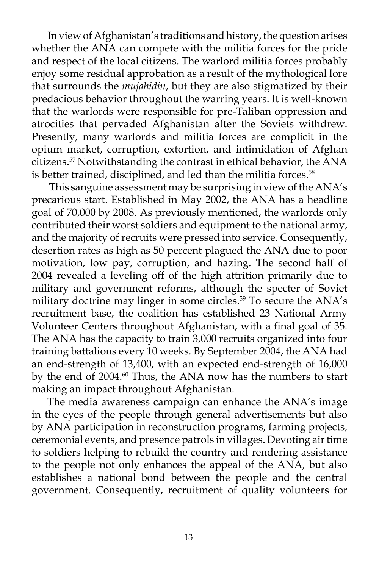In view of Afghanistan's traditions and history, the question arises whether the ANA can compete with the militia forces for the pride and respect of the local citizens. The warlord militia forces probably enjoy some residual approbation as a result of the mythological lore that surrounds the *mujahidin*, but they are also stigmatized by their predacious behavior throughout the warring years. It is well-known that the warlords were responsible for pre-Taliban oppression and atrocities that pervaded Afghanistan after the Soviets withdrew. Presently, many warlords and militia forces are complicit in the opium market, corruption, extortion, and intimidation of Afghan citizens.57 Notwithstanding the contrast in ethical behavior, the ANA is better trained, disciplined, and led than the militia forces.<sup>58</sup>

 This sanguine assessment may be surprising in view of the ANA's precarious start. Established in May 2002, the ANA has a headline goal of 70,000 by 2008. As previously mentioned, the warlords only contributed their worst soldiers and equipment to the national army, and the majority of recruits were pressed into service. Consequently, desertion rates as high as 50 percent plagued the ANA due to poor motivation, low pay, corruption, and hazing. The second half of 2004 revealed a leveling off of the high attrition primarily due to military and government reforms, although the specter of Soviet military doctrine may linger in some circles.<sup>59</sup> To secure the ANA's recruitment base, the coalition has established 23 National Army Volunteer Centers throughout Afghanistan, with a final goal of 35. The ANA has the capacity to train 3,000 recruits organized into four training battalions every 10 weeks. By September 2004, the ANA had an end-strength of 13,400, with an expected end-strength of 16,000 by the end of 2004.<sup>60</sup> Thus, the ANA now has the numbers to start making an impact throughout Afghanistan.

 The media awareness campaign can enhance the ANA's image in the eyes of the people through general advertisements but also by ANA participation in reconstruction programs, farming projects, ceremonial events, and presence patrols in villages. Devoting air time to soldiers helping to rebuild the country and rendering assistance to the people not only enhances the appeal of the ANA, but also establishes a national bond between the people and the central government. Consequently, recruitment of quality volunteers for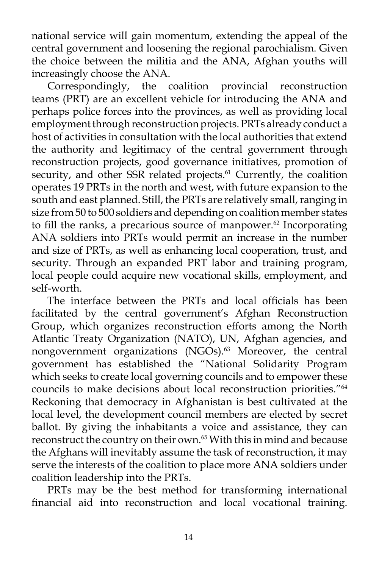national service will gain momentum, extending the appeal of the central government and loosening the regional parochialism. Given the choice between the militia and the ANA, Afghan youths will increasingly choose the ANA.

 Correspondingly, the coalition provincial reconstruction teams (PRT) are an excellent vehicle for introducing the ANA and perhaps police forces into the provinces, as well as providing local employment through reconstruction projects. PRTs already conduct a host of activities in consultation with the local authorities that extend the authority and legitimacy of the central government through reconstruction projects, good governance initiatives, promotion of security, and other SSR related projects.<sup>61</sup> Currently, the coalition operates 19 PRTs in the north and west, with future expansion to the south and east planned. Still, the PRTs are relatively small, ranging in size from 50 to 500 soldiers and depending on coalition member states to fill the ranks, a precarious source of manpower. $62$  Incorporating ANA soldiers into PRTs would permit an increase in the number and size of PRTs, as well as enhancing local cooperation, trust, and security. Through an expanded PRT labor and training program, local people could acquire new vocational skills, employment, and self-worth.

 The interface between the PRTs and local officials has been facilitated by the central government's Afghan Reconstruction Group, which organizes reconstruction efforts among the North Atlantic Treaty Organization (NATO), UN, Afghan agencies, and nongovernment organizations (NGOs).<sup>63</sup> Moreover, the central government has established the "National Solidarity Program which seeks to create local governing councils and to empower these councils to make decisions about local reconstruction priorities."64 Reckoning that democracy in Afghanistan is best cultivated at the local level, the development council members are elected by secret ballot. By giving the inhabitants a voice and assistance, they can reconstruct the country on their own.<sup>65</sup> With this in mind and because the Afghans will inevitably assume the task of reconstruction, it may serve the interests of the coalition to place more ANA soldiers under coalition leadership into the PRTs.

 PRTs may be the best method for transforming international financial aid into reconstruction and local vocational training.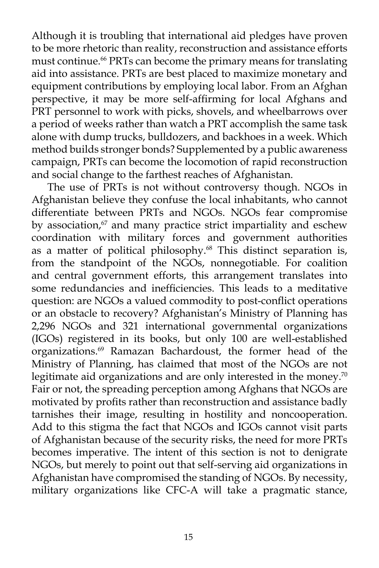Although it is troubling that international aid pledges have proven to be more rhetoric than reality, reconstruction and assistance efforts must continue.<sup>66</sup> PRTs can become the primary means for translating aid into assistance. PRTs are best placed to maximize monetary and equipment contributions by employing local labor. From an Afghan perspective, it may be more self-affirming for local Afghans and PRT personnel to work with picks, shovels, and wheelbarrows over a period of weeks rather than watch a PRT accomplish the same task alone with dump trucks, bulldozers, and backhoes in a week. Which method builds stronger bonds? Supplemented by a public awareness campaign, PRTs can become the locomotion of rapid reconstruction and social change to the farthest reaches of Afghanistan.

 The use of PRTs is not without controversy though. NGOs in Afghanistan believe they confuse the local inhabitants, who cannot differentiate between PRTs and NGOs. NGOs fear compromise by association,<sup>67</sup> and many practice strict impartiality and eschew coordination with military forces and government authorities as a matter of political philosophy.<sup>68</sup> This distinct separation is, from the standpoint of the NGOs, nonnegotiable. For coalition and central government efforts, this arrangement translates into some redundancies and inefficiencies. This leads to a meditative question: are NGOs a valued commodity to post-conflict operations or an obstacle to recovery? Afghanistan's Ministry of Planning has 2,296 NGOs and 321 international governmental organizations (IGOs) registered in its books, but only 100 are well-established organizations.69 Ramazan Bachardoust, the former head of the Ministry of Planning, has claimed that most of the NGOs are not legitimate aid organizations and are only interested in the money.<sup>70</sup> Fair or not, the spreading perception among Afghans that NGOs are motivated by profits rather than reconstruction and assistance badly tarnishes their image, resulting in hostility and noncooperation. Add to this stigma the fact that NGOs and IGOs cannot visit parts of Afghanistan because of the security risks, the need for more PRTs becomes imperative. The intent of this section is not to denigrate NGOs, but merely to point out that self-serving aid organizations in Afghanistan have compromised the standing of NGOs. By necessity, military organizations like CFC-A will take a pragmatic stance,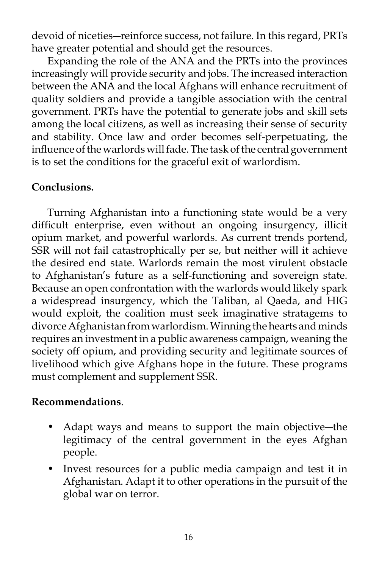devoid of niceties―reinforce success, not failure. In this regard, PRTs have greater potential and should get the resources.

 Expanding the role of the ANA and the PRTs into the provinces increasingly will provide security and jobs. The increased interaction between the ANA and the local Afghans will enhance recruitment of quality soldiers and provide a tangible association with the central government. PRTs have the potential to generate jobs and skill sets among the local citizens, as well as increasing their sense of security and stability. Once law and order becomes self-perpetuating, the influence of the warlords will fade. The task of the central government is to set the conditions for the graceful exit of warlordism.

# **Conclusions.**

Turning Afghanistan into a functioning state would be a very difficult enterprise, even without an ongoing insurgency, illicit opium market, and powerful warlords. As current trends portend, SSR will not fail catastrophically per se, but neither will it achieve the desired end state. Warlords remain the most virulent obstacle to Afghanistan's future as a self-functioning and sovereign state. Because an open confrontation with the warlords would likely spark a widespread insurgency, which the Taliban, al Qaeda, and HIG would exploit, the coalition must seek imaginative stratagems to divorce Afghanistan from warlordism. Winning the hearts and minds requires an investment in a public awareness campaign, weaning the society off opium, and providing security and legitimate sources of livelihood which give Afghans hope in the future. These programs must complement and supplement SSR.

## **Recommendations**.

- Adapt ways and means to support the main objective―the legitimacy of the central government in the eyes Afghan people.
- Invest resources for a public media campaign and test it in Afghanistan. Adapt it to other operations in the pursuit of the global war on terror.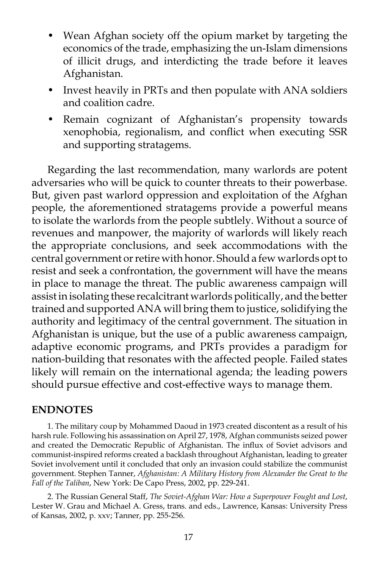- Wean Afghan society off the opium market by targeting the economics of the trade, emphasizing the un-Islam dimensions of illicit drugs, and interdicting the trade before it leaves Afghanistan.
- Invest heavily in PRTs and then populate with ANA soldiers and coalition cadre.
- Remain cognizant of Afghanistan's propensity towards xenophobia, regionalism, and conflict when executing SSR and supporting stratagems.

Regarding the last recommendation, many warlords are potent adversaries who will be quick to counter threats to their powerbase. But, given past warlord oppression and exploitation of the Afghan people, the aforementioned stratagems provide a powerful means to isolate the warlords from the people subtlely. Without a source of revenues and manpower, the majority of warlords will likely reach the appropriate conclusions, and seek accommodations with the central government or retire with honor. Should a few warlords opt to resist and seek a confrontation, the government will have the means in place to manage the threat. The public awareness campaign will assist in isolating these recalcitrant warlords politically, and the better trained and supported ANA will bring them to justice, solidifying the authority and legitimacy of the central government. The situation in Afghanistan is unique, but the use of a public awareness campaign, adaptive economic programs, and PRTs provides a paradigm for nation-building that resonates with the affected people. Failed states likely will remain on the international agenda; the leading powers should pursue effective and cost-effective ways to manage them.

#### **ENDNOTES**

1. The military coup by Mohammed Daoud in 1973 created discontent as a result of his harsh rule. Following his assassination on April 27, 1978, Afghan communists seized power and created the Democratic Republic of Afghanistan. The influx of Soviet advisors and communist-inspired reforms created a backlash throughout Afghanistan, leading to greater Soviet involvement until it concluded that only an invasion could stabilize the communist government. Stephen Tanner, *Afghanistan: A Military History from Alexander the Great to the Fall of the Taliban*, New York: De Capo Press, 2002, pp. 229-241.

 2. The Russian General Staff, *The Soviet-Afghan War: How a Superpower Fought and Lost*, Lester W. Grau and Michael A. Gress, trans. and eds., Lawrence, Kansas: University Press of Kansas, 2002, p. xxv; Tanner, pp. 255-256.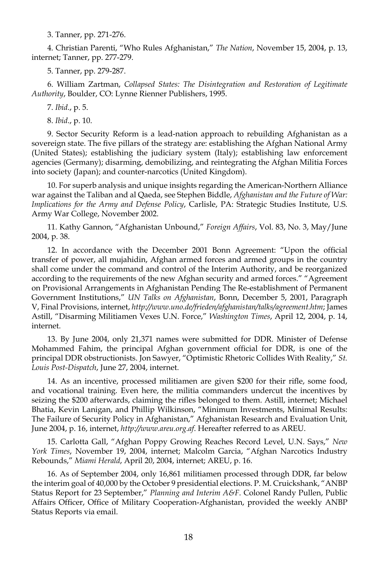3. Tanner, pp. 271-276.

 4. Christian Parenti, "Who Rules Afghanistan," *The Nation*, November 15, 2004, p. 13, internet; Tanner, pp. 277-279.

5. Tanner, pp. 279-287.

 6. William Zartman, *Collapsed States: The Disintegration and Restoration of Legitimate Authority*, Boulder, CO: Lynne Rienner Publishers, 1995.

7. *Ibid*., p. 5.

8. *Ibid*., p. 10.

 9. Sector Security Reform is a lead-nation approach to rebuilding Afghanistan as a sovereign state. The five pillars of the strategy are: establishing the Afghan National Army (United States); establishing the judiciary system (Italy); establishing law enforcement agencies (Germany); disarming, demobilizing, and reintegrating the Afghan Militia Forces into society (Japan); and counter-narcotics (United Kingdom).

 10. For superb analysis and unique insights regarding the American-Northern Alliance war against the Taliban and al Qaeda, see Stephen Biddle, *Afghanistan and the Future of War: Implications for the Army and Defense Policy*, Carlisle, PA: Strategic Studies Institute, U.S. Army War College, November 2002.

 11. Kathy Gannon, "Afghanistan Unbound," *Foreign Affairs*, Vol. 83, No. 3, May/June 2004, p. 38.

 12. In accordance with the December 2001 Bonn Agreement: "Upon the official transfer of power, all mujahidin, Afghan armed forces and armed groups in the country shall come under the command and control of the Interim Authority, and be reorganized according to the requirements of the new Afghan security and armed forces." "Agreement on Provisional Arrangements in Afghanistan Pending The Re-establishment of Permanent Government Institutions," *UN Talks on Afghanistan*, Bonn, December 5, 2001, Paragraph V, Final Provisions, internet, *http://www.uno.de/frieden/afghanistan/talks/agreement.htm*; James Astill, "Disarming Militiamen Vexes U.N. Force," *Washington Times*, April 12, 2004, p. 14, internet.

 13. By June 2004, only 21,371 names were submitted for DDR. Minister of Defense Mohammed Fahim, the principal Afghan government official for DDR, is one of the principal DDR obstructionists. Jon Sawyer, "Optimistic Rhetoric Collides With Reality," *St. Louis Post-Dispatch*, June 27, 2004, internet.

 14. As an incentive, processed militiamen are given \$200 for their rifle, some food, and vocational training. Even here, the militia commanders undercut the incentives by seizing the \$200 afterwards, claiming the rifles belonged to them. Astill, internet; Michael Bhatia, Kevin Lanigan, and Phillip Wilkinson, "Minimum Investments, Minimal Results: The Failure of Security Policy in Afghanistan," Afghanistan Research and Evaluation Unit, June 2004, p. 16, internet, *http://www.areu.org.af*. Hereafter referred to as AREU.

 15. Carlotta Gall, "Afghan Poppy Growing Reaches Record Level, U.N. Says," *New York Times*, November 19, 2004, internet; Malcolm Garcia, "Afghan Narcotics Industry Rebounds," *Miami Herald*, April 20, 2004, internet; AREU, p. 16.

 16. As of September 2004, only 16,861 militiamen processed through DDR, far below the interim goal of 40,000 by the October 9 presidential elections. P. M. Cruickshank, "ANBP Status Report for 23 September," *Planning and Interim A&F*. Colonel Randy Pullen, Public Affairs Officer, Office of Military Cooperation-Afghanistan, provided the weekly ANBP Status Reports via email.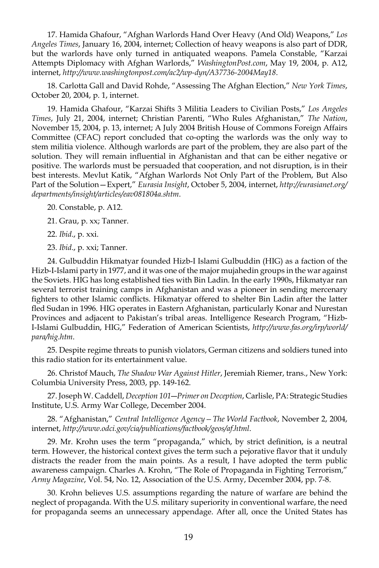17. Hamida Ghafour, "Afghan Warlords Hand Over Heavy (And Old) Weapons," *Los Angeles Times*, January 16, 2004, internet; Collection of heavy weapons is also part of DDR, but the warlords have only turned in antiquated weapons. Pamela Constable, "Karzai Attempts Diplomacy with Afghan Warlords," *WashingtonPost.com*, May 19, 2004, p. A12, internet, *http://www.washingtonpost.com/ac2/wp-dyn/A37736-2004May18*.

 18. Carlotta Gall and David Rohde, "Assessing The Afghan Election," *New York Times*, October 20, 2004, p. 1, internet.

 19. Hamida Ghafour, "Karzai Shifts 3 Militia Leaders to Civilian Posts," *Los Angeles Times*, July 21, 2004, internet; Christian Parenti, "Who Rules Afghanistan," *The Nation*, November 15, 2004, p. 13, internet; A July 2004 British House of Commons Foreign Affairs Committee (CFAC) report concluded that co-opting the warlords was the only way to stem militia violence. Although warlords are part of the problem, they are also part of the solution. They will remain influential in Afghanistan and that can be either negative or positive. The warlords must be persuaded that cooperation, and not disruption, is in their best interests. Mevlut Katik, "Afghan Warlords Not Only Part of the Problem, But Also Part of the Solution—Expert," *Eurasia Insight*, October 5, 2004, internet, *http://eurasianet.org/ departments/insight/articles/eav081804a.shtm*.

20. Constable, p. A12.

21. Grau, p. xx; Tanner.

22. *Ibid*., p. xxi.

23. *Ibid*., p. xxi; Tanner.

 24. Gulbuddin Hikmatyar founded Hizb-I Islami Gulbuddin (HIG) as a faction of the Hizb-I-Islami party in 1977, and it was one of the major mujahedin groups in the war against the Soviets. HIG has long established ties with Bin Ladin. In the early 1990s, Hikmatyar ran several terrorist training camps in Afghanistan and was a pioneer in sending mercenary fighters to other Islamic conflicts. Hikmatyar offered to shelter Bin Ladin after the latter fled Sudan in 1996. HIG operates in Eastern Afghanistan, particularly Konar and Nurestan Provinces and adjacent to Pakistan's tribal areas. Intelligence Research Program, "Hizb-I-Islami Gulbuddin, HIG," Federation of American Scientists, *http://www.fas.org/irp/world/ para/hig.htm*.

 25. Despite regime threats to punish violators, German citizens and soldiers tuned into this radio station for its entertainment value.

 26. Christof Mauch, *The Shadow War Against Hitler*, Jeremiah Riemer, trans., New York: Columbia University Press, 2003, pp. 149-162.

 27. Joseph W. Caddell, *Deception 101―Primer on Deception*, Carlisle, PA: Strategic Studies Institute, U.S. Army War College, December 2004.

 28. "Afghanistan," *Central Intelligence Agency—The World Factbook*, November 2, 2004, internet, *http://www.odci.gov/cia/publications/factbook/geos/af.html*.

 29. Mr. Krohn uses the term "propaganda," which, by strict definition, is a neutral term. However, the historical context gives the term such a pejorative flavor that it unduly distracts the reader from the main points. As a result, I have adopted the term public awareness campaign. Charles A. Krohn, "The Role of Propaganda in Fighting Terrorism," *Army Magazine*, Vol. 54, No. 12, Association of the U.S. Army, December 2004, pp. 7-8.

 30. Krohn believes U.S. assumptions regarding the nature of warfare are behind the neglect of propaganda. With the U.S. military superiority in conventional warfare, the need for propaganda seems an unnecessary appendage. After all, once the United States has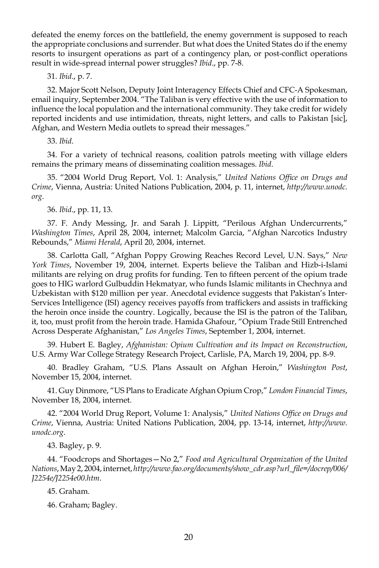defeated the enemy forces on the battlefield, the enemy government is supposed to reach the appropriate conclusions and surrender. But what does the United States do if the enemy resorts to insurgent operations as part of a contingency plan, or post-conflict operations result in wide-spread internal power struggles? *Ibid*., pp. 7-8.

31. *Ibid*., p. 7.

 32. Major Scott Nelson, Deputy Joint Interagency Effects Chief and CFC-A Spokesman, email inquiry, September 2004. "The Taliban is very effective with the use of information to influence the local population and the international community. They take credit for widely reported incidents and use intimidation, threats, night letters, and calls to Pakistan [sic], Afghan, and Western Media outlets to spread their messages."

33. *Ibid*.

 34. For a variety of technical reasons, coalition patrols meeting with village elders remains the primary means of disseminating coalition messages. *Ibid*.

 35. "2004 World Drug Report, Vol. 1: Analysis," *United Nations Office on Drugs and Crime*, Vienna, Austria: United Nations Publication, 2004, p. 11, internet, *http://www.unodc. org*.

36. *Ibid*., pp. 11, 13.

 37. F. Andy Messing, Jr. and Sarah J. Lippitt, "Perilous Afghan Undercurrents," *Washington Times*, April 28, 2004, internet; Malcolm Garcia, "Afghan Narcotics Industry Rebounds," *Miami Herald*, April 20, 2004, internet.

 38. Carlotta Gall, "Afghan Poppy Growing Reaches Record Level, U.N. Says," *New York Times*, November 19, 2004, internet. Experts believe the Taliban and Hizb-i-Islami militants are relying on drug profits for funding. Ten to fifteen percent of the opium trade goes to HIG warlord Gulbuddin Hekmatyar, who funds Islamic militants in Chechnya and Uzbekistan with \$120 million per year. Anecdotal evidence suggests that Pakistan's Inter-Services Intelligence (ISI) agency receives payoffs from traffickers and assists in trafficking the heroin once inside the country. Logically, because the ISI is the patron of the Taliban, it, too, must profit from the heroin trade. Hamida Ghafour, "Opium Trade Still Entrenched Across Desperate Afghanistan," *Los Angeles Times*, September 1, 2004, internet.

 39. Hubert E. Bagley, *Afghanistan: Opium Cultivation and its Impact on Reconstruction*, U.S. Army War College Strategy Research Project, Carlisle, PA, March 19, 2004, pp. 8-9.

 40. Bradley Graham, "U.S. Plans Assault on Afghan Heroin," *Washington Post*, November 15, 2004, internet.

 41. Guy Dinmore, "US Plans to Eradicate Afghan Opium Crop," *London Financial Times*, November 18, 2004, internet.

 42. "2004 World Drug Report, Volume 1: Analysis," *United Nations Office on Drugs and Crime*, Vienna, Austria: United Nations Publication, 2004, pp. 13-14, internet, *http://www. unodc.org*.

43. Bagley, p. 9.

 44. "Foodcrops and Shortages—No 2," *Food and Agricultural Organization of the United Nations*, May 2, 2004, internet, *http://www.fao.org/documents/show\_cdr.asp?url\_file=/docrep/006/ J2254e/J2254e00.htm*.

45. Graham.

46. Graham; Bagley.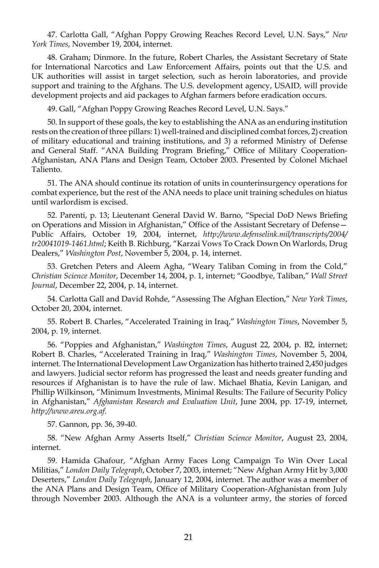47. Carlotta Gall, "Afghan Poppy Growing Reaches Record Level, U.N. Says," *New York Times*, November 19, 2004, internet.

 48. Graham; Dinmore. In the future, Robert Charles, the Assistant Secretary of State for International Narcotics and Law Enforcement Affairs, points out that the U.S. and UK authorities will assist in target selection, such as heroin laboratories, and provide support and training to the Afghans. The U.S. development agency, USAID, will provide development projects and aid packages to Afghan farmers before eradication occurs.

49. Gall, "Afghan Poppy Growing Reaches Record Level, U.N. Says."

 50. In support of these goals, the key to establishing the ANA as an enduring institution rests on the creation of three pillars: 1) well-trained and disciplined combat forces, 2) creation of military educational and training institutions, and 3) a reformed Ministry of Defense and General Staff. "ANA Building Program Briefing," Office of Military Cooperation-Afghanistan, ANA Plans and Design Team, October 2003. Presented by Colonel Michael Taliento.

 51. The ANA should continue its rotation of units in counterinsurgency operations for combat experience, but the rest of the ANA needs to place unit training schedules on hiatus until warlordism is excised.

 52. Parenti, p. 13; Lieutenant General David W. Barno, "Special DoD News Briefing on Operations and Mission in Afghanistan," Office of the Assistant Secretary of Defense— Public Affairs, October 19, 2004, internet, *http://www.defenselink.mil/transcripts/2004/ tr20041019-1461.html*; Keith B. Richburg, "Karzai Vows To Crack Down On Warlords, Drug Dealers," *Washington Post*, November 5, 2004, p. 14, internet.

 53. Gretchen Peters and Aleem Agha, "Weary Taliban Coming in from the Cold," *Christian Science Monitor*, December 14, 2004, p. 1, internet; "Goodbye, Taliban," *Wall Street Journal*, December 22, 2004, p. 14, internet.

 54. Carlotta Gall and David Rohde, "Assessing The Afghan Election," *New York Times*, October 20, 2004, internet.

 55. Robert B. Charles, "Accelerated Training in Iraq," *Washington Times*, November 5, 2004, p. 19, internet.

 56. "Poppies and Afghanistan," *Washington Times*, August 22, 2004, p. B2, internet; Robert B. Charles, "Accelerated Training in Iraq," *Washington Times*, November 5, 2004, internet. The International Development Law Organization has hitherto trained 2,450 judges and lawyers. Judicial sector reform has progressed the least and needs greater funding and resources if Afghanistan is to have the rule of law. Michael Bhatia, Kevin Lanigan, and Phillip Wilkinson, "Minimum Investments, Minimal Results: The Failure of Security Policy in Afghanistan," *Afghanistan Research and Evaluation Unit*, June 2004, pp. 17-19, internet, *http://www.areu.org.af*.

57. Gannon, pp. 36, 39-40.

 58. "New Afghan Army Asserts Itself," *Christian Science Monitor*, August 23, 2004, internet.

 59. Hamida Ghafour, "Afghan Army Faces Long Campaign To Win Over Local Militias," *London Daily Telegraph*, October 7, 2003, internet; "New Afghan Army Hit by 3,000 Deserters," *London Daily Telegraph*, January 12, 2004, internet. The author was a member of the ANA Plans and Design Team, Office of Military Cooperation-Afghanistan from July through November 2003. Although the ANA is a volunteer army, the stories of forced